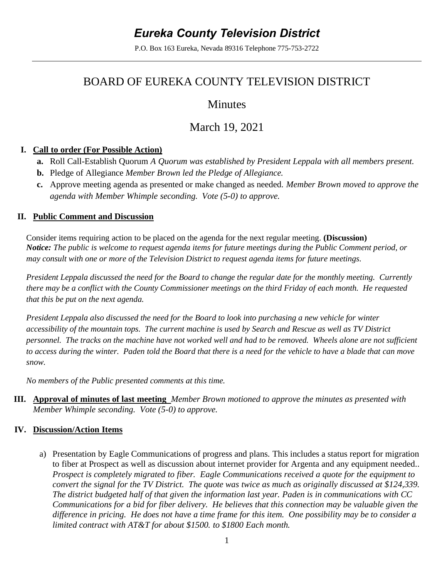# *Eureka County Television District*

P.O. Box 163 Eureka, Nevada 89316 Telephone 775-753-2722

## BOARD OF EUREKA COUNTY TELEVISION DISTRICT

### Minutes

# March 19, 2021

#### **I. Call to order (For Possible Action)**

- **a.** Roll Call-Establish Quorum *A Quorum was established by President Leppala with all members present.*
- **b.** Pledge of Allegiance *Member Brown led the Pledge of Allegiance.*
- **c.** Approve meeting agenda as presented or make changed as needed. *Member Brown moved to approve the agenda with Member Whimple seconding. Vote (5-0) to approve.*

#### **II. Public Comment and Discussion**

Consider items requiring action to be placed on the agenda for the next regular meeting. **(Discussion)**  *Notice: The public is welcome to request agenda items for future meetings during the Public Comment period, or may consult with one or more of the Television District to request agenda items for future meetings.*

*President Leppala discussed the need for the Board to change the regular date for the monthly meeting. Currently there may be a conflict with the County Commissioner meetings on the third Friday of each month. He requested that this be put on the next agenda.* 

*President Leppala also discussed the need for the Board to look into purchasing a new vehicle for winter accessibility of the mountain tops. The current machine is used by Search and Rescue as well as TV District personnel. The tracks on the machine have not worked well and had to be removed. Wheels alone are not sufficient to access during the winter. Paden told the Board that there is a need for the vehicle to have a blade that can move snow.* 

*No members of the Public presented comments at this time.* 

**III. Approval of minutes of last meeting** *Member Brown motioned to approve the minutes as presented with Member Whimple seconding. Vote (5-0) to approve.* 

#### **IV. Discussion/Action Items**

a) Presentation by Eagle Communications of progress and plans. This includes a status report for migration to fiber at Prospect as well as discussion about internet provider for Argenta and any equipment needed.. *Prospect is completely migrated to fiber. Eagle Communications received a quote for the equipment to convert the signal for the TV District. The quote was twice as much as originally discussed at \$124,339. The district budgeted half of that given the information last year. Paden is in communications with CC Communications for a bid for fiber delivery. He believes that this connection may be valuable given the difference in pricing. He does not have a time frame for this item. One possibility may be to consider a limited contract with AT&T for about \$1500. to \$1800 Each month.*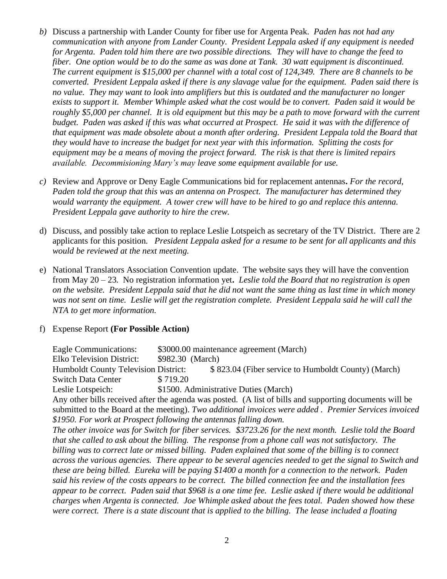- *b)* Discuss a partnership with Lander County for fiber use for Argenta Peak*. Paden has not had any communication with anyone from Lander County. President Leppala asked if any equipment is needed for Argenta. Paden told him there are two possible directions. They will have to change the feed to fiber. One option would be to do the same as was done at Tank. 30 watt equipment is discontinued. The current equipment is \$15,000 per channel with a total cost of 124,349. There are 8 channels to be converted. President Leppala asked if there is any slavage value for the equipment. Paden said there is no value. They may want to look into amplifiers but this is outdated and the manufacturer no longer exists to support it. Member Whimple asked what the cost would be to convert. Paden said it would be roughly \$5,000 per channel. It is old equipment but this may be a path to move forward with the current budget. Paden was asked if this was what occurred at Prospect. He said it was with the difference of that equipment was made obsolete about a month after ordering. President Leppala told the Board that they would have to increase the budget for next year with this information. Splitting the costs for equipment may be a means of moving the project forward. The risk is that there is limited repairs available. Decommisioning Mary's may leave some equipment available for use.*
- *c)* Review and Approve or Deny Eagle Communications bid for replacement antennas**.** *For the record, Paden told the group that this was an antenna on Prospect. The manufacturer has determined they would warranty the equipment. A tower crew will have to be hired to go and replace this antenna. President Leppala gave authority to hire the crew.*
- d) Discuss, and possibly take action to replace Leslie Lotspeich as secretary of the TV District. There are 2 applicants for this position. *President Leppala asked for a resume to be sent for all applicants and this would be reviewed at the next meeting.*
- e) National Translators Association Convention update. The website says they will have the convention from May 20 – 23. No registration information yet**.** *Leslie told the Board that no registration is open on the website. President Leppala said that he did not want the same thing as last time in which money was not sent on time. Leslie will get the registration complete. President Leppala said he will call the NTA to get more information.*

#### f) Expense Report **(For Possible Action)**

| <b>Eagle Communications:</b>                                                                             | \$3000.00 maintenance agreement (March)             |
|----------------------------------------------------------------------------------------------------------|-----------------------------------------------------|
| <b>Elko Television District:</b>                                                                         | \$982.30 (March)                                    |
| <b>Humboldt County Television District:</b>                                                              | \$823.04 (Fiber service to Humboldt County) (March) |
| <b>Switch Data Center</b>                                                                                | \$719.20                                            |
| Leslie Lotspeich:                                                                                        | \$1500. Administrative Duties (March)               |
| Any other bills received after the agenda was posted. (A list of bills and supporting documents will be  |                                                     |
| submitted to the Board at the meeting). Two additional invoices were added. Premier Services invoiced    |                                                     |
| \$1950. For work at Prospect following the antennas falling down.                                        |                                                     |
| The other invoice was for Switch for fiber services. \$3723.26 for the next month. Leslie told the Board |                                                     |
| that she called to ask about the billing. The response from a phone call was not satisfactory. The       |                                                     |
| billing was to correct late or missed billing. Paden explained that some of the billing is to connect    |                                                     |
| across the various agencies. There appear to be several agencies needed to get the signal to Switch and  |                                                     |
| these are being billed. Eureka will be paying \$1400 a month for a connection to the network. Paden      |                                                     |
| said his review of the costs appears to be correct. The billed connection fee and the installation fees  |                                                     |
| appear to be correct. Paden said that \$968 is a one time fee. Leslie asked if there would be additional |                                                     |
| charges when Argenta is connected. Joe Whimple asked about the fees total. Paden showed how these        |                                                     |
| were correct. There is a state discount that is applied to the billing. The lease included a floating    |                                                     |